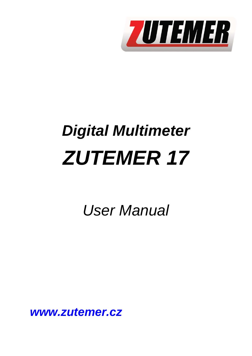

# *Digital Multimeter ZUTEMER 17*

*User Manual* 

*www.zutemer.cz*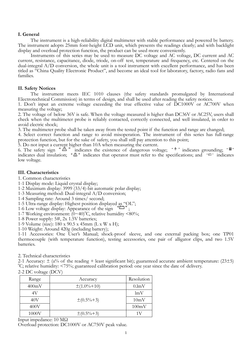### **I. General**

The instrument is a high-reliability digital multimeter with stable performance and powered by battery. The instrument adopts 25mm font-height LCD unit, which presents the readings clearly; and with backlight display and overload protection function, the product can be used more conveniently.

Instruments of this series may be used to measure DC voltage and AC voltage, DC current and AC current, resistance, capacitance, diode, triode, on-off test, temperature and frequency, etc. Centered on the dual-integral A/D conversion, the whole unit is a tool instrument with excellent performance, and has been titled as "China Quality Electronic Product", and become an ideal tool for laboratory, factory, radio fans and families.

## **II. Safety Notices**

The instrument meets IEC 1010 clauses (the safety standards promulgated by International Electrotechnical Commission) in terms of design, and shall be used after reading the safety notices.

1. Don't input an extreme voltage exceeding the true effective value of DC1000V or AC700V when measuring the voltage;

2. The voltage of below 36V is safe. When the voltage measured is higher than DC36V or AC25V, users shall check when the multimeter probe is reliably contacted, correctly connected, and well insulated, in order to avoid electric shock;

3. The multimeter probe shall be taken away from the tested point if the function and range are changed;

4. Select correct function and range to avoid misoperation. The instrument of this series has full-range protection function, but for the sake of safety, you shall still pay attention to this point;

5. Do not input a current higher than 10A when measuring the current.

6. The safety sign " $\triangle$ " indicates the existence of dangerous voltage; " $\equiv$ " indicates grounding; indicates dual insulation;  $\Delta$  " indicates that operator must refer to the specifications; and  $\Delta$ " indicates low voltage.

#### **III. Characteristics**

- 1. Common characteristics
- 1-1 Display mode: Liquid crystal display;
- 1-2 Maximum display: 3999 (33/4)-bit automatic polar display;
- 1-3 Measuring method: Dual-integral A/D conversion;
- 1-4 Sampling rate: Around 3 times/ second;
- 1-5 Ultra-range display: Highest position displayed as "OL";
- 1-6 Low voltage display: Appearance of the sign  $\Box$ ":
- 1-7 Working environment:  $(0 \sim 40)$ <sup>o</sup>C, relative humidity <80%;
- 1-8 Power supply: 5#, 2x 1.5V batteries;
- 1-9 Volume (size): 180 x 90.5 x 45mm (L x W x H);
- 1-10 Weight: Around 420g (including battery);

1-11 Accessories: One User's Manual; shock-proof sleeve, and one external packing box; one TP01 thermocouple (with temperature function), testing accessories, one pair of alligator clips, and two 1.5V batteries.

2. Technical characteristics

2-1 Accuracy:  $\pm$  (a% of the reading + least significant bit); guaranteed accurate ambient temperature: (23 $\pm$ 5)  ${}^0C$ ; relative humidity: <75%; guaranteed calibration period: one year since the date of delivery.

| 2-2 DC voltage (DCV) |  |
|----------------------|--|
|----------------------|--|

| Range | Accuracy          | Resolution |
|-------|-------------------|------------|
| 400mV | $\pm(1.0\% + 10)$ | 0.lmV      |
| 4V    |                   | lmV        |
| 40V   | $\pm(0.5\% + 3)$  | 10mV       |
| 400V  |                   | 100mV      |
| 1000V | $\pm(0.5\% + 3)$  |            |

Input impedance: 10 MΩ

Overload protection: DC1000V or AC750V peak value.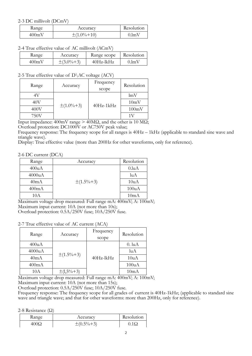## 2-3 DC millivolt (DCmV)

| Kange           | Accuracy          | Resolution |
|-----------------|-------------------|------------|
| $400 \text{mV}$ | $\pm(1.0\% + 10)$ | 0.lmV      |

2-4 True effective value of AC millivolt (ACmV)

| Range           | Accuracv         | Range scope  | Resolution |
|-----------------|------------------|--------------|------------|
| $400 \text{mV}$ | $\pm(3.0\% + 3)$ | $40Hz$ -lkHz | 0.1mV      |

# 2-5 True effective value of  $D\AC$  voltage (ACV)

| Range | Accuracy         | Frequency<br>scope | Resolution |
|-------|------------------|--------------------|------------|
| 4V    |                  |                    | lmV        |
| 40V   | $\pm(1.0\% + 3)$ | $40Hz-1kHz$        | 10mV       |
| 400V  |                  |                    | 100mV      |
| 750V  |                  |                    |            |

Input impedance: 400mV range > 40MΩ, and the other is 10 MΩ;

Overload protection: DC1000V or AC750V peak value;

Frequency response: The frequency scope for all ranges is  $40\text{Hz} - 1\text{kHz}$  (applicable to standard sine wave and triangle wave).

Display: True effective value (more than 200Hz for other waveforms, only for reference).

## 2-6 DC current (DCA)

| Range  | Accuracy         | Resolution |
|--------|------------------|------------|
| 400uA  |                  | 0.luA      |
| 4000uA |                  | luA        |
| 40mA   | $\pm(1.5\% + 3)$ | 10uA       |
| 400mA  |                  | 100uA      |
| 10A    |                  | 10mA       |

Maximum voltage drop measured: Full range mA: 400mV; A: 100mV; Maximum input current: 10A (not more than 10s);

Overload protection: 0.5A/250V fuse; 10A/250V fuse.

# 2-7 True effective value of AC current (ACA)

| Range  | Accuracy         | Frequency<br>scope | Resolution  |
|--------|------------------|--------------------|-------------|
| 400uA  |                  |                    | $0.$ lu $A$ |
| 4000uA | $\pm(1.5\% + 3)$ |                    | $l$ u $A$   |
| 40mA   |                  | 40Hz-lkHz          | 10uA        |
| 400mA  |                  |                    | 100uA       |
| 10A    | $\pm(1,5\% + 3)$ |                    | 10mA        |

Maximum voltage drop measured: Full range mA: 400mV; A: 100mV; Maximum input current: 10A (not more than 15s);

Overload protection: 0.5A/250V fuse; 10A/250V fuse.

Frequency response: The frequency scope for all grades of current is 40Hz-1kHz; (applicable to standard sine wave and triangle wave; and that for other waveforms: more than 200Hz, only for reference).

2-8 Resistance (Ω)

| Kange | Accuracy         | Resolution  |
|-------|------------------|-------------|
| 400.C | $\pm(0.5\% + 3)$ | $0.1\Omega$ |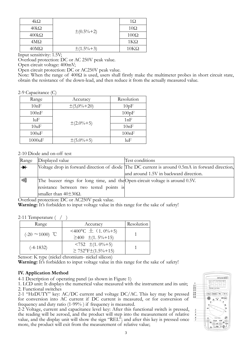| 4kΩ                | $\pm(0.5\% + 2)$ | 1Ω          |
|--------------------|------------------|-------------|
| $40k\Omega$        |                  | $10\Omega$  |
| $400k\Omega$       |                  | $100\Omega$ |
| 4ΜΩ                |                  | $1K\Omega$  |
| $40\text{M}\Omega$ | $\pm(1.5\% + 3)$ | $10K\Omega$ |

Input sensitivity: 1.5V;

Overload protection: DC or AC 250V peak value.

Open circuit voltage: 400mV;

Open circuit protection: DC or AC250V peak value.

Note: When the range of 400Ω is used, users shall firstly make the multimeter probes in short circuit state, obtain the resistance of the down-lead, and then reduce it from the actually measured value.

2-9 Capacitance (C)

| Range  | Accuracy          | Resolution |
|--------|-------------------|------------|
| 10nF   | $\pm(5,0\% + 20)$ | 10pF       |
| 100nF  |                   | 100pF      |
| luF    |                   | 1nF        |
| 10uF   | $\pm (2.0\% + 5)$ | 10nF       |
| 100uF  |                   | 100nF      |
| 1000uF | $\pm(5.0\% + 5)$  | luF        |

#### 2-10 Diode and on-off test

| Range | Displayed value                                                              | Test conditions                                                                                 |
|-------|------------------------------------------------------------------------------|-------------------------------------------------------------------------------------------------|
| $+$   |                                                                              | Voltage drop in forward direction of diode The DC current is around 0.5mA in forward direction, |
|       |                                                                              | and around 1.5V in backward direction.                                                          |
| o)))  | The buzzer rings for long time, and the Open-circuit voltage is around 0.5V. |                                                                                                 |
|       | resistance between two tested points is                                      |                                                                                                 |
|       | smaller than $40\pm30\Omega$ .                                               |                                                                                                 |

Overload protection: DC or AC250V peak value.

**Warning:** It's forbidden to input voltage value in this range for the sake of safety!

2-11 Temperature ( / )

| Range                | Accuracy                                                    | Resolution |
|----------------------|-------------------------------------------------------------|------------|
| $(-20 \sim 1000)$ °C | <400 °C $\pm$ (1.0%+5)<br>$\geq 400 \pm (1.5\% + 15)$       |            |
| $(-4-1832)$          | $\leq 752 \pm (1.0\% + 5)$<br>$\geq 752$ °F $\pm$ (1.5%+15) |            |

Sensor: K type (nickel chromium- nickel silicon)

**Warning:** It's forbidden to input voltage value in this range for the sake of safety!

#### **IV. Application Method**

4-1 Description of operating panel (as shown in Figure 1)

1. LCD unit: It displays the numerical value measured with the instrument and its unit; 2. Functional switches

2-1 "HzDUTY" key: AC/DC current and voltage DC/AC. This key may be pressed for conversion into AC current if DC current is measured, or for conversion of frequency and duty ratio (1-99% ) if frequency is measured.

2-2 Voltage, current and capacitance level key: After this functional switch is pressed, the reading will be zeroed, and the product will step into the measurement of relative value, and the display unit will show the sign "REL"; and after this key is pressed once more, the product will exit from the measurement of relative value;

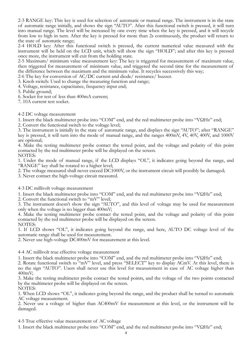2-3 RANGE key: This key is used for selection of automatic or manual range. The instrument is in the state of automatic range initially, and shows the sign "AUTO". After this functional switch is pressed, it will turn into manual range. The level will be increased by one every time when the key is pressed, and it will recycle from low to high in turn. After the key is pressed for more than 2s continuously, the product will return to the state of automatic range;

2-4 HOLD key: After this functional switch is pressed, the current numerical value measured with the instrument will be held on the LCD unit, which will show the sign "HOLD"; and after this key is pressed once more, the instrument will exit from the holding state.

2-5 Maximum/ minimum value measurement key: The key is triggered for measurement of maximum value, then triggered for measurement of minimum value, and triggered the second time for the measurement of the difference between the maximum and the minimum value. It recycles successively this way;

2-6 The key for conversion of AC/DC current and diode/ resistance/ buzzer.

3. Knob switch: Used to change the measuring function and range;

4. Voltage, resistance, capacitance, frequency input end;

5. Public ground;

6. Socket for test of less than 400mA current;

7. 10A current test socket.

## 4-2 DC voltage measurement

1. Insert the black multimeter probe into "COM" end, and the red multimeter probe into "VΩHz" end;

2. Convert the functional switch to the voltage level;

3. The instrument is initially in the state of automatic range, and displays the sign "AUTO"; after "RANGE" key is pressed, it will turn into the mode of manual range, and the ranges 400mV, 4V, 40V, 400V, and 1000V are optional;

4. Make the testing multimeter probe contact the tested point, and the voltage and polarity of this point contacted by the red multimeter probe will be displayed on the screen. NOTES:

1. Under the mode of manual range, if the LCD displays "OL", it indicates going beyond the range, and "RANGE" key shall be rotated to a higher level;

2. The voltage measured shall never exceed DC1000V, or the instrument circuit will possibly be damaged;

3. Never contact the high-voltage circuit measured.

4-3 DC millivolt voltage measurement

1. Insert the black multimeter probe into "COM" end, and the red multimeter probe into "VΩHz" end;

2. Convert the functional switch to "mV" level;

3. The instrument doesn't show the sign "AUTO", and this level of voltage may be used for measurement only when the voltage is no bigger than 400mV;

4. Make the testing multimeter probe contact the tested point, and the voltage and polarity of this point contacted by the red multimeter probe will be displayed on the screen. NOTES:

1. If LCD shows "OL", it indicates going beyond the range, and here, AUTO DC voltage level of the automatic range shall be used for measurement.

2. Never use high-voltage DC400mV for measurement at this level.

4-4 AC millivolt true effective voltage measurement

1. Insert the black multimeter probe into "COM" end, and the red multimeter probe into "VΩHz" end;

2. Rotate functional switch to "mV" level, and press "SELECT" key to display ACmV. At this level, there is no the sign "AUTO". Users shall never use this level for measurement in case of AC voltage higher than 400mV;

3. Make the testing multimeter probe contact the tested points, and the voltage of the two points contacted by the multimeter probe will be displayed on the screen.

NOTES:

1. When LCD shows "OL", it indicates going beyond the range, and the product shall be turned to automatic AC voltage measurement.

2. Never use a voltage of higher than AC400mV for measurement at this level, or the instrument will be damaged.

4-5 True effective value measurement of AC voltage

1. Insert the black multimeter probe into "COM" end, and the red multimeter probe into "VΩHz" end;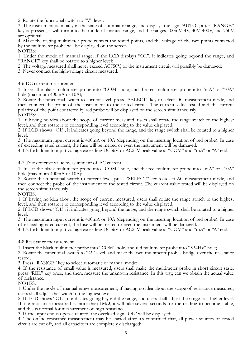2. Rotate the functional switch to "V" level;

3. The instrument is initially in the state of automatic range, and displays the sign "AUTO"; after "RANGE" key is pressed, it will turn into the mode of manual range, and the ranges 400mV, 4V, 40V, 400V, and 750V are optional;

4. Make the testing multimeter probe contact the tested points, and the voltage of the two points contacted by the multimeter probe will be displayed on the screen.

NOTES:

1. Under the mode of manual range, if the LCD displays "OL", it indicates going beyond the range, and "RANGE" key shall be rotated to a higher level;

2. The voltage measured shall never exceed AC750V, or the instrument circuit will possibly be damaged;

3. Never contact the high-voltage circuit measured.

4-6 DC current measurement

1. Insert the black multimeter probe into "COM" hole, and the red multimeter probe into "mA" or "10A" hole (maximum 400mA or 10A);

2. Rotate the functional switch to current level, press "SELECT" key to select DC measurement mode, and then connect the probe of the instrument to the tested circuit. The current value tested and the current polarity of the point contacted by red probe will be displayed on the screen simultaneously. NOTES:

1. If having no idea about the scope of current measured, users shall rotate the range switch to the highest level, and then rotate it to corresponding level according to the value displayed;

2. If LCD shows "OL", it indicates going beyond the range, and the range switch shall be rotated to a higher level.

3. The maximum input current is 400mA or 10A (depending on the inserting location of red probe). In case of exceeding rated current, the fuse will be melted or even the instrument will be damaged.

4. It's forbidden to input voltage exceeding DC36V or AC25V peak value at "COM" and "mA" or "A" end.

4-7 True effective value measurement of AC current

1. Insert the black multimeter probe into "COM" hole, and the red multimeter probe into "mA" or "10A" hole (maximum 400mA or 10A);

2. Rotate the functional switch to current level, press "SELECT" key to select AC measurement mode, and then connect the probe of the instrument to the tested circuit. The current value tested will be displayed on the screen simultaneously.

NOTES:

1. If having no idea about the scope of current measured, users shall rotate the range switch to the highest level, and then rotate it to corresponding level according to the value displayed;

2. If LCD shows "OL", it indicates going beyond the range, and the range switch shall be rotated to a higher level.

3. The maximum input current is 400mA or 10A (depending on the inserting location of red probe). In case of exceeding rated current, the fuse will be melted or even the instrument will be damaged.

4. It's forbidden to input voltage exceeding DC36V or AC25V peak value at "COM" and "mA" or "A" end.

4-8 Resistance measurement

1. Insert the black multimeter probe into "COM" hole, and red multimeter probe into "VΩHz" hole;

2. Rotate the functional switch to "Ω" level, and make the two multimeter probes bridge over the resistance tested;

3. Press "RANGE" key to select automatic or manual mode;

4. If the resistance of small value is measured, users shall make the multimeter probe in short circuit state, press "REL" key once, and then, measure the unknown resistance. In this way, can we obtain the actual value of resistance.

NOTES:

1. Under the mode of manual range measurement, if having no idea about the scope of resistance measured, users shall adjust the switch to the highest level;

2. If LCD shows "OL", it indicates going beyond the range, and users shall adjust the range to a higher level. If the resistance measured is more than  $1\text{M}\Omega$ , it will take several seconds for the reading to become stable, and this is normal for measurement of high resistance;

3. If the input end is open-circuited, the overload sign "OL" will be displayed;

4. The online resistance measurement may be started after it's confirmed that, all power sources of tested circuit are cut off, and all capacitors are completely discharged;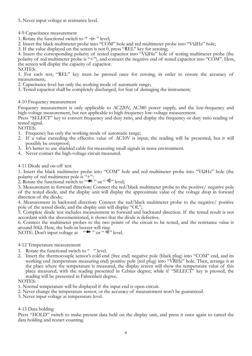## 5. Never input voltage at resistance level.

4-9 Capacitance measurement

1. Rotate the functional switch to " $H$ " level;

2. Insert the black multimeter probe into "COM" hole and red multimeter probe into "VΩHz" hole;

3. If the value displayed on the screen is not 0, press "REL" key for zeroing;

4. Insert the corresponding polarity of tested capacitor into "VΩHz" hole of testing multimeter probe (the polarity of red multimeter probe is "+"), and connect the negative end of tested capacitor into "COM". Here, the screen will display the capacity of capacitor.

NOTES:

1. For each test, "REL" key must be pressed once for zeroing, in order to ensure the accuracy of measurement;

2. Capacitance level has only the working mode of automatic range;

3. Tested capacitor shall be completely discharged, for fear of damaging the instrument;

## 4-10 Frequency measurement

Frequency measurement is only applicable to AC220V, AC380 power supply, and the low-frequency and high-voltage measurement, but not applicable to high-frequency low-voltage measurement.

Press "SELECT" key to convert frequency and duty ratio, and display the frequency or duty ratio reading of tested signal.

NOTES:

- 1. Frequency has only the working mode of automatic range;
- 2. If a value exceeding the effective value of AC10V is input, the reading will be presented, but it will possibly be overproof;
- 3. It's better to use shielded cable for measuring small signals in noise environment.
- 4. Never contact the high-voltage circuit measured.

4-11 Diode and on-off test

1. Insert the black multimeter probe into "COM" hole and red multimeter probe into "VΩHz" hole (the polarity of red multimeter pole is "+";

2. Rotate the functional switch to  $\leftrightarrow$  or  $\circ$  of  $\circ$   $\circ$ ))  $\circ$  level;

3. Measurement in forward direction: Connect the red/black multimeter probe to the positive/ negative pole of the tested diode, and the display unit will display the approximate value of the voltage drop in forward direction of the diode;

4. Measurement in backward direction: Connect the red/black multimeter probe to the negative/ positive pole of the tested diode, and the display unit will display "OL";

5. Complete diode test includes measurement in forward and backward direction. If the tested result is not accordant with the abovementioned, it shows that the diode is defective.

6. Connect the multimeter probes to the two points of the circuit to be tested, and the resistance value is around 50Ω. Here, the built-in buzzer will ring.

NOTE: Don't input voltage at  $\longrightarrow^*$  or " $\longrightarrow^*$ " level.

4-12 Temperature measurement

- 1. Rotate the functional switch to " " level.
- 2. Insert the thermocouple sensor's cold end (free end) negative pole (black plug) into "COM" end, and its working end (temperature measuring end) positive pole (red plug) into "VRHz" hole. Then, arrange it at the place where the temperature is measured, the display screen will show the temperature value of this place measured, with the reading presented in Celsius degree; while if "SELECT" key is pressed, the reading will be presented in Fahrenheit degree.

#### NOTES:

- 1. Normal temperature will be displayed if the input end is open-circuit.
- 2. Never change the temperature sensor, or the accuracy of measurement won't be guaranteed.
- 3. Never input voltage at temperature level.

## 4-13 Data holding

Press "HOLD" switch to make present data held on the display unit, and press it once again to cancel the data holding and restart counting.